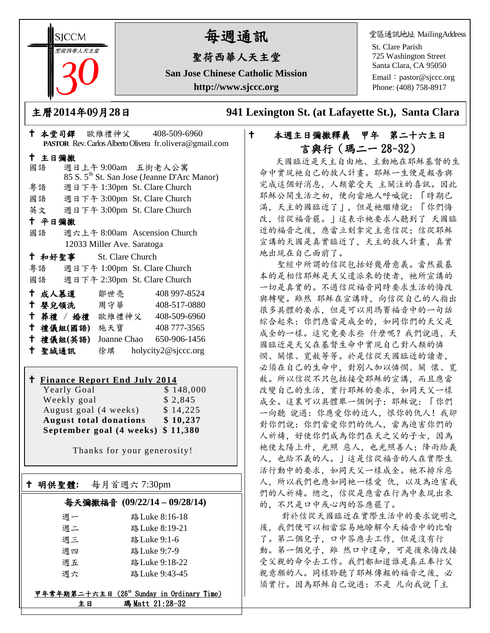**SICCM** 聖荷西華人天主堂 

# 每週通訊

# 聖荷西華人天主堂

**San Jose Chinese Catholic Mission http://www.sjccc.org**

堂區通訊地址 MailingAddress

St. Clare Parish 725 Washington Street Santa Clara, CA 95050 Email: [pastor@sjccc.org](mailto:pastor@sjccc.org) Phone: (408) 758-8917

主曆**2014**年**0**9月**28**日 **941 Lexington St. (at Lafayette St.), Santa Clara** 

# 本堂司鐸 歐維禮神父 408-509-6960 **PASTOR** Rev. Carlos Alberto Olivera fr.olivera@gmail.com 主日彌撒 國語 週日上午 9:00am 五街老人公寓 85 S. 5th St. San Jose (Jeanne D'Arc Manor) 粵語 週日下午 1:30pm St. Clare Church 國語 週日下午 3:00pm St. Clare Church 英文 週日下午 3:00pm St. Clare Church 平日彌撒 國語 週六上午 8:00am Ascension Church 12033 Miller Ave. Saratoga 和好聖事 St. Clare Church 粵語 週日下午 1:00pm St. Clare Church 國語 週日下午 2:30pm St. Clare Church 成人慕道 鄒世亮 408 997-8524 嬰兒領洗 周守華 408-517-0880 葬禮 / 婚禮 歐維禮神父 408-509-6960 禮儀組**(**國語**)** 施天寶 408 777-3565 禮儀組**(**英語**)** Joanne Chao 650-906-1456 聖城通訊 徐琪 holycity2@sjccc.org

# **Finance Report End July 2014**

Yearly Goal Weekly goal \$ 2,845 August goal (4 weeks) \$14,225 **August total donations \$ 10,237 September goal (4 weeks) \$ 11,380**

Thanks for your generosity!

# 明供聖體**:** 每月首週六 7:30pm

Ξ

## 每天彌撒福音 **(09/22/14 – 09/28/14)**

| 週一 | 路 Luke 8:16-18 |
|----|----------------|
| 週二 | 路 Luke 8:19-21 |
| 週三 | 路 Luke 9:1-6   |
| 週四 | 路 Luke 9:7-9   |
| 週五 | 路 Luke 9:18-22 |
| 调六 | 路 Luke 9:43-45 |

#### 甲年常年期第二十六主日 (26th Sunday in Ordinary Time) 主日 瑪 Matt 21:28-32

# 本週主日彌撒釋義 甲年 第二十六主日 言與行(瑪二一 28~32)

 天國臨近是天主自由地、主動地在耶穌基督的生 命中實現祂自己的救人計畫。耶穌一生便是報告與 完成這個好消息,人類蒙受天 主關注的喜訊。因此 耶穌公開生活之初,便向當地人呼喊說:「時期已 滿,天主的國臨近了」,但是祂繼續說:「你們悔 改,信從福音罷。」這表示祂要求人聽到了 天國臨 近的福音之後,應當立刻拿定主意信從;信從耶穌 宣講的天國是真實臨近了,天主的救人計畫,真實 地出現在自己面前了。

 聖經中所謂的信從包括好幾層意義。當然最基 本的是相信耶穌是天父遣派來的使者,祂所宣講的 一切是真實的。不過信從福音同時要求生活的悔改 與轉變。雖然 耶穌在宣講時,向信從自己的人指出 很多具體的要求,但是可以用瑪竇福音中的一句話 綜合起來:你們應當是成全的,如同你們的天父是 成全的一樣。這究竟要求些 什麼呢?我們說過,天 國臨近是天父在基督生命中實現自己對人類的憐 憫、關懷、寬赦等等。於是信從天國臨近的讀者, 必須在自己的生命中,對別人加以憐憫、關 懷、寬 赦。所以信從不只包括接受耶穌的宣講,而且應當 改變自己的生活,實行耶穌的要求,如同天父一樣 成全。這裏可以具體舉一個例子:耶穌說:「你們 一向聽 說過:你應愛你的近人,恨你的仇人!我卻 對你們說:你們當愛你們的仇人,當為迫害你們的 人祈禱,好使你們成為你們在天之父的子女,因為 祂使太陽上升,光照 惡人,也光照善人;降雨給義 人,也給不義的人。」這是信從福音的人在實際生 活行動中的要求,如同天父一樣成全。祂不排斥惡 人,所以我們也應如同祂一樣愛 仇,以及為迫害我 們的人祈禱。總之,信從是應當在行為中表現出來 的,不只是口中或心內的答應罷了。

 對於信從天國臨近在實際生活中的要求說明之 後,我們便可以相當容易地瞭解今天福音中的比喻 了。第二個兒子,口中答應去工作,但是沒有行 動。第一個兒子,雖然口中違命,可是後來悔改接 受父親的命令去工作。我們都知道誰是真正奉行父 親意願的人。同樣聆聽了耶穌傳報的福音之後,必 須實行。因為耶穌自己說過:不是凡向我說「主